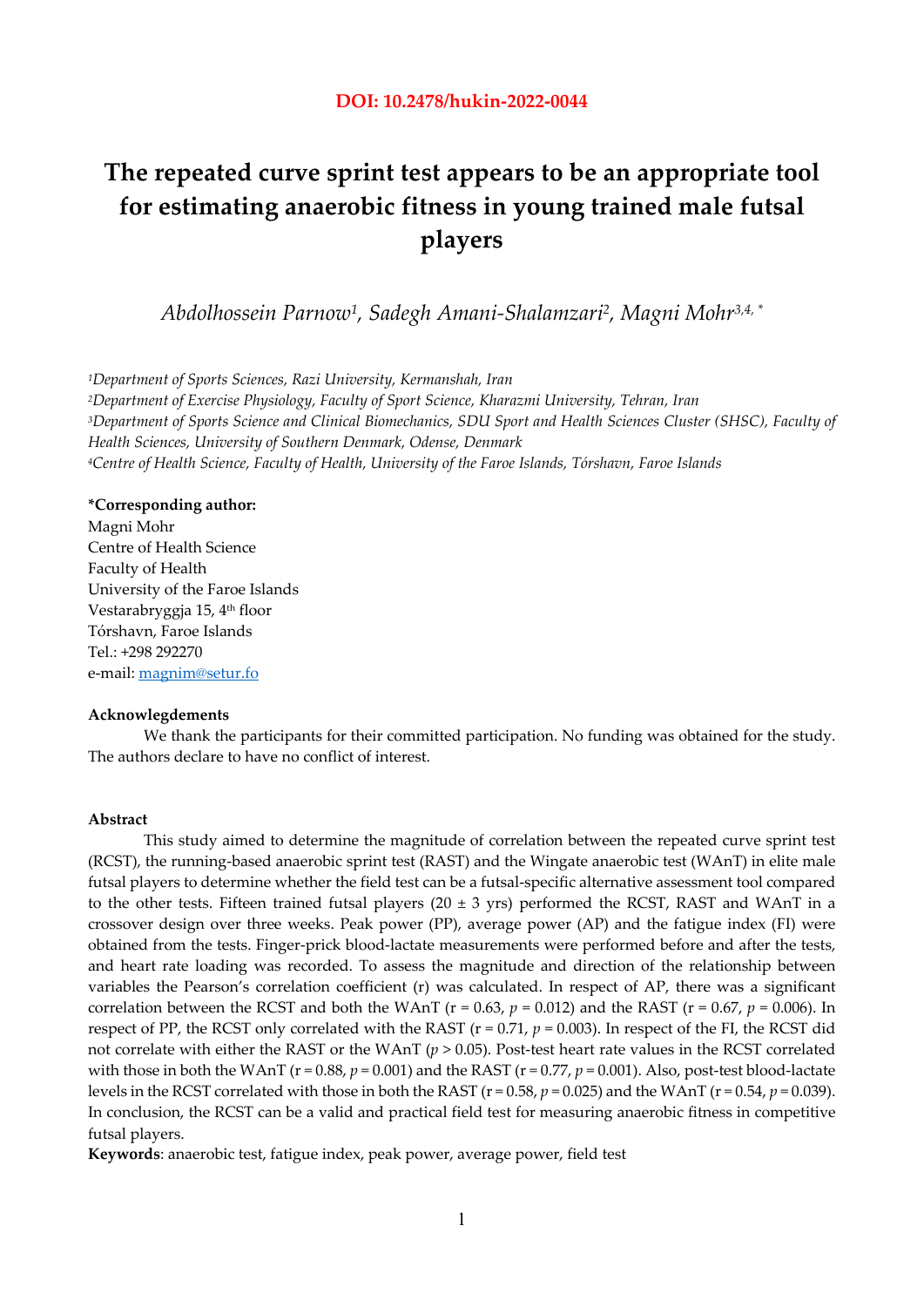# **The repeated curve sprint test appears to be an appropriate tool for estimating anaerobic fitness in young trained male futsal players**

*Abdolhossein Parnow1, Sadegh Amani-Shalamzari2, Magni Mohr3,4, \** 

*1Department of Sports Sciences, Razi University, Kermanshah, Iran 2Department of Exercise Physiology, Faculty of Sport Science, Kharazmi University, Tehran, Iran 3Department of Sports Science and Clinical Biomechanics, SDU Sport and Health Sciences Cluster (SHSC), Faculty of Health Sciences, University of Southern Denmark, Odense, Denmark 4Centre of Health Science, Faculty of Health, University of the Faroe Islands, Tórshavn, Faroe Islands* 

# **\*Corresponding author:**

Magni Mohr Centre of Health Science Faculty of Health University of the Faroe Islands Vestarabryggja 15, 4th floor Tórshavn, Faroe Islands Tel.: +298 292270 e-mail: magnim@setur.fo

### **Acknowlegdements**

We thank the participants for their committed participation. No funding was obtained for the study. The authors declare to have no conflict of interest.

#### **Abstract**

This study aimed to determine the magnitude of correlation between the repeated curve sprint test (RCST), the running-based anaerobic sprint test (RAST) and the Wingate anaerobic test (WAnT) in elite male futsal players to determine whether the field test can be a futsal-specific alternative assessment tool compared to the other tests. Fifteen trained futsal players (20  $\pm$  3 yrs) performed the RCST, RAST and WAnT in a crossover design over three weeks. Peak power (PP), average power (AP) and the fatigue index (FI) were obtained from the tests. Finger-prick blood-lactate measurements were performed before and after the tests, and heart rate loading was recorded. To assess the magnitude and direction of the relationship between variables the Pearson's correlation coefficient (r) was calculated. In respect of AP, there was a significant correlation between the RCST and both the WAnT ( $r = 0.63$ ,  $p = 0.012$ ) and the RAST ( $r = 0.67$ ,  $p = 0.006$ ). In respect of PP, the RCST only correlated with the RAST ( $r = 0.71$ ,  $p = 0.003$ ). In respect of the FI, the RCST did not correlate with either the RAST or the WAnT (*p* > 0.05). Post-test heart rate values in the RCST correlated with those in both the WAnT ( $r = 0.88$ ,  $p = 0.001$ ) and the RAST ( $r = 0.77$ ,  $p = 0.001$ ). Also, post-test blood-lactate levels in the RCST correlated with those in both the RAST ( $r = 0.58$ ,  $p = 0.025$ ) and the WAnT ( $r = 0.54$ ,  $p = 0.039$ ). In conclusion, the RCST can be a valid and practical field test for measuring anaerobic fitness in competitive futsal players.

**Keywords**: anaerobic test, fatigue index, peak power, average power, field test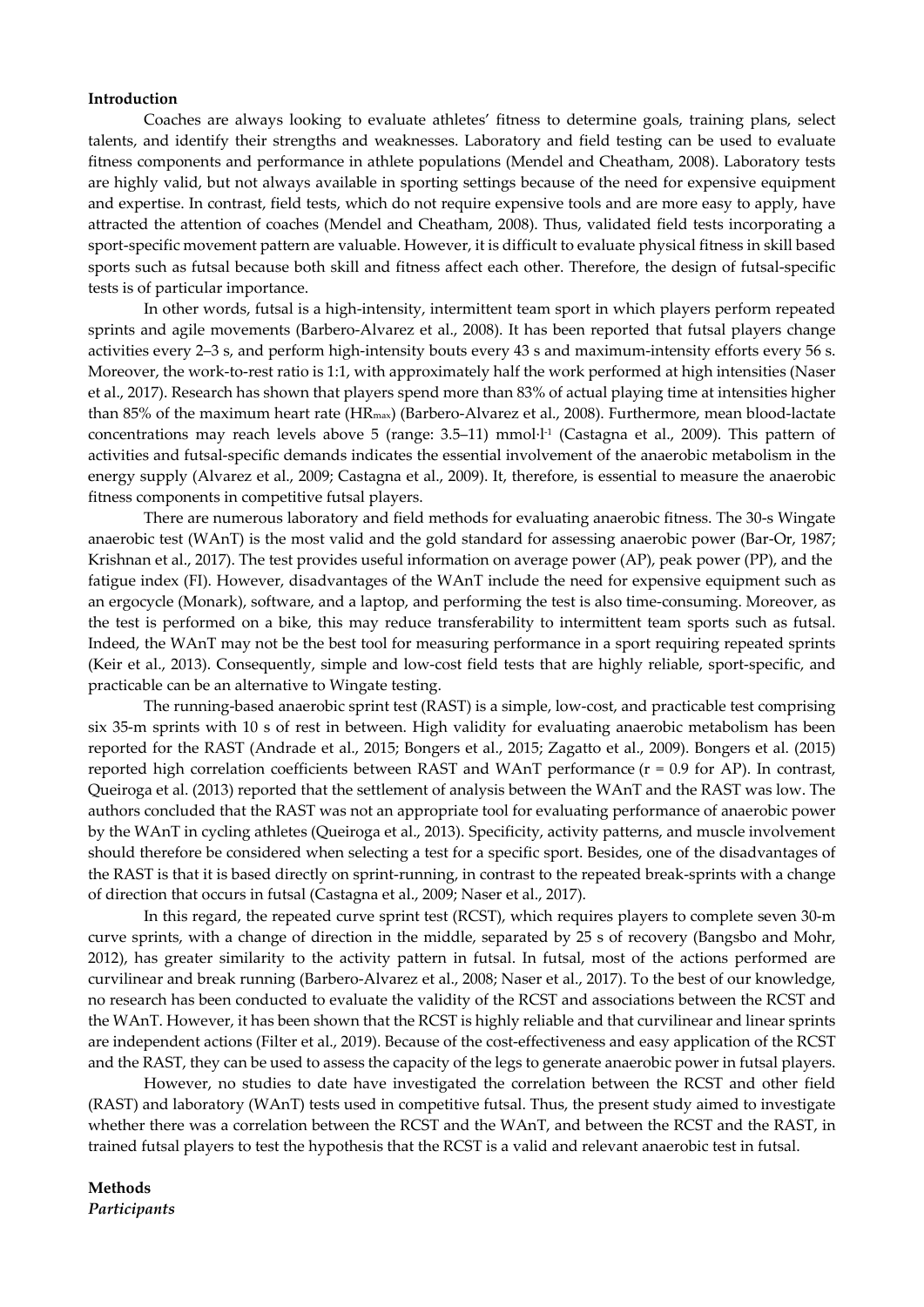## **Introduction**

Coaches are always looking to evaluate athletes' fitness to determine goals, training plans, select talents, and identify their strengths and weaknesses. Laboratory and field testing can be used to evaluate fitness components and performance in athlete populations (Mendel and Cheatham, 2008). Laboratory tests are highly valid, but not always available in sporting settings because of the need for expensive equipment and expertise. In contrast, field tests, which do not require expensive tools and are more easy to apply, have attracted the attention of coaches (Mendel and Cheatham, 2008). Thus, validated field tests incorporating a sport-specific movement pattern are valuable. However, it is difficult to evaluate physical fitness in skill based sports such as futsal because both skill and fitness affect each other. Therefore, the design of futsal-specific tests is of particular importance.

In other words, futsal is a high-intensity, intermittent team sport in which players perform repeated sprints and agile movements (Barbero-Alvarez et al., 2008). It has been reported that futsal players change activities every 2–3 s, and perform high-intensity bouts every 43 s and maximum-intensity efforts every 56 s. Moreover, the work-to-rest ratio is 1:1, with approximately half the work performed at high intensities (Naser et al., 2017). Research has shown that players spend more than 83% of actual playing time at intensities higher than 85% of the maximum heart rate (HRmax) (Barbero-Alvarez et al., 2008). Furthermore, mean blood-lactate concentrations may reach levels above 5 (range: 3.5–11) mmol·l-1 (Castagna et al., 2009). This pattern of activities and futsal-specific demands indicates the essential involvement of the anaerobic metabolism in the energy supply (Alvarez et al., 2009; Castagna et al., 2009). It, therefore, is essential to measure the anaerobic fitness components in competitive futsal players.

There are numerous laboratory and field methods for evaluating anaerobic fitness. The 30-s Wingate anaerobic test (WAnT) is the most valid and the gold standard for assessing anaerobic power (Bar-Or, 1987; Krishnan et al., 2017). The test provides useful information on average power (AP), peak power (PP), and the fatigue index (FI). However, disadvantages of the WAnT include the need for expensive equipment such as an ergocycle (Monark), software, and a laptop, and performing the test is also time-consuming. Moreover, as the test is performed on a bike, this may reduce transferability to intermittent team sports such as futsal. Indeed, the WAnT may not be the best tool for measuring performance in a sport requiring repeated sprints (Keir et al., 2013). Consequently, simple and low-cost field tests that are highly reliable, sport-specific, and practicable can be an alternative to Wingate testing.

The running-based anaerobic sprint test (RAST) is a simple, low-cost, and practicable test comprising six 35-m sprints with 10 s of rest in between. High validity for evaluating anaerobic metabolism has been reported for the RAST (Andrade et al., 2015; Bongers et al., 2015; Zagatto et al., 2009). Bongers et al. (2015) reported high correlation coefficients between RAST and WAnT performance (r = 0.9 for AP). In contrast, Queiroga et al. (2013) reported that the settlement of analysis between the WAnT and the RAST was low. The authors concluded that the RAST was not an appropriate tool for evaluating performance of anaerobic power by the WAnT in cycling athletes (Queiroga et al., 2013). Specificity, activity patterns, and muscle involvement should therefore be considered when selecting a test for a specific sport. Besides, one of the disadvantages of the RAST is that it is based directly on sprint-running, in contrast to the repeated break-sprints with a change of direction that occurs in futsal (Castagna et al., 2009; Naser et al., 2017).

In this regard, the repeated curve sprint test (RCST), which requires players to complete seven 30-m curve sprints, with a change of direction in the middle, separated by 25 s of recovery (Bangsbo and Mohr, 2012), has greater similarity to the activity pattern in futsal. In futsal, most of the actions performed are curvilinear and break running (Barbero-Alvarez et al., 2008; Naser et al., 2017). To the best of our knowledge, no research has been conducted to evaluate the validity of the RCST and associations between the RCST and the WAnT. However, it has been shown that the RCST is highly reliable and that curvilinear and linear sprints are independent actions (Filter et al., 2019). Because of the cost-effectiveness and easy application of the RCST and the RAST, they can be used to assess the capacity of the legs to generate anaerobic power in futsal players.

However, no studies to date have investigated the correlation between the RCST and other field (RAST) and laboratory (WAnT) tests used in competitive futsal. Thus, the present study aimed to investigate whether there was a correlation between the RCST and the WAnT, and between the RCST and the RAST, in trained futsal players to test the hypothesis that the RCST is a valid and relevant anaerobic test in futsal.

# **Methods**  *Participants*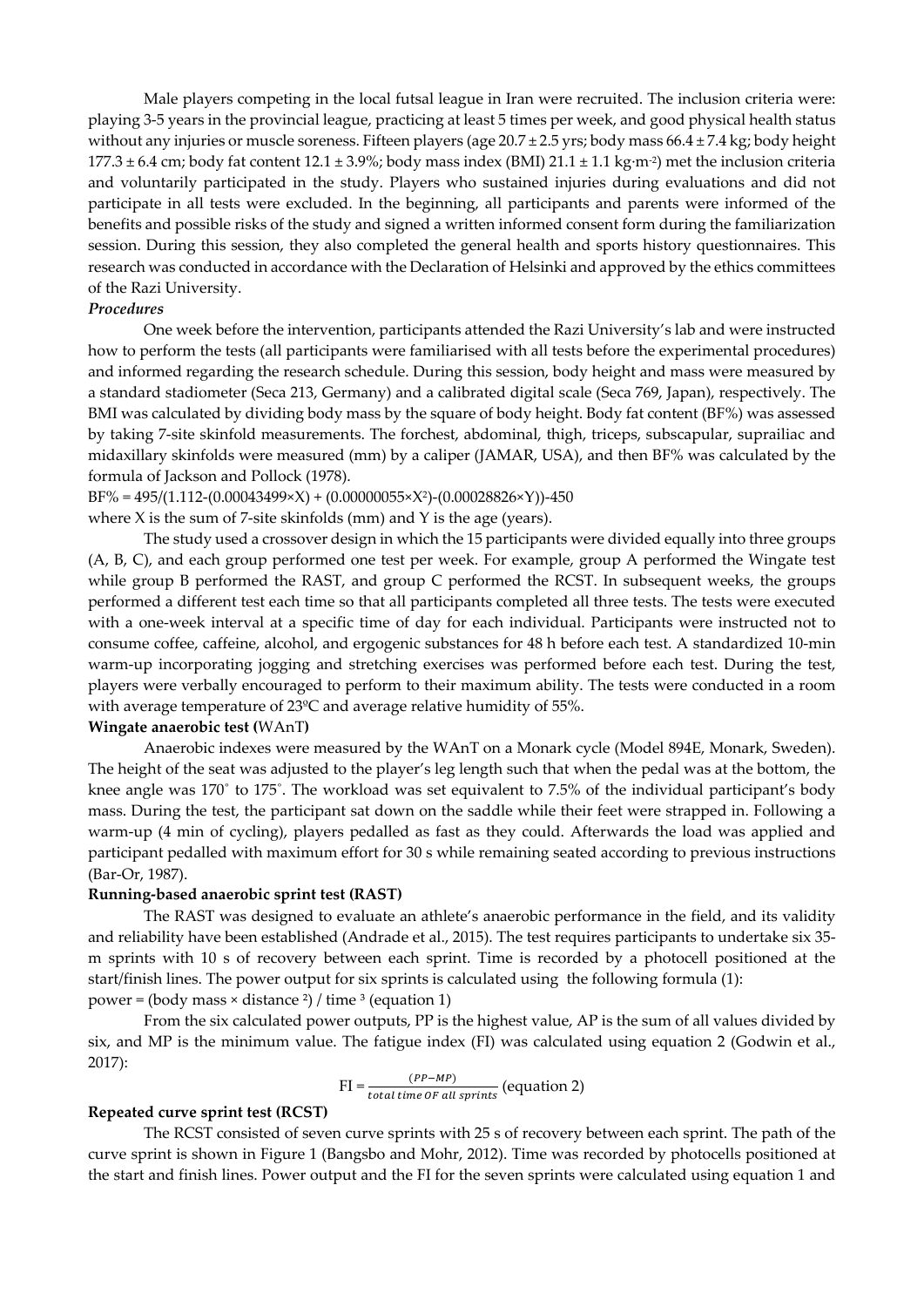Male players competing in the local futsal league in Iran were recruited. The inclusion criteria were: playing 3-5 years in the provincial league, practicing at least 5 times per week, and good physical health status without any injuries or muscle soreness. Fifteen players (age 20.7 ± 2.5 yrs; body mass 66.4 ± 7.4 kg; body height 177.3  $\pm$  6.4 cm; body fat content 12.1  $\pm$  3.9%; body mass index (BMI) 21.1  $\pm$  1.1 kg·m<sup>-2</sup>) met the inclusion criteria and voluntarily participated in the study. Players who sustained injuries during evaluations and did not participate in all tests were excluded. In the beginning, all participants and parents were informed of the benefits and possible risks of the study and signed a written informed consent form during the familiarization session. During this session, they also completed the general health and sports history questionnaires. This research was conducted in accordance with the Declaration of Helsinki and approved by the ethics committees of the Razi University.

## *Procedures*

One week before the intervention, participants attended the Razi University's lab and were instructed how to perform the tests (all participants were familiarised with all tests before the experimental procedures) and informed regarding the research schedule. During this session, body height and mass were measured by a standard stadiometer (Seca 213, Germany) and a calibrated digital scale (Seca 769, Japan), respectively. The BMI was calculated by dividing body mass by the square of body height. Body fat content (BF%) was assessed by taking 7-site skinfold measurements. The forchest, abdominal, thigh, triceps, subscapular, suprailiac and midaxillary skinfolds were measured (mm) by a caliper (JAMAR, USA), and then BF% was calculated by the formula of Jackson and Pollock (1978).

 $BF\% = 495/(1.112-(0.00043499\times X) + (0.00000055\times X^2) - (0.00028826\times Y)) - 450$ 

where  $X$  is the sum of 7-site skinfolds (mm) and  $Y$  is the age (years).

The study used a crossover design in which the 15 participants were divided equally into three groups (A, B, C), and each group performed one test per week. For example, group A performed the Wingate test while group B performed the RAST, and group C performed the RCST. In subsequent weeks, the groups performed a different test each time so that all participants completed all three tests. The tests were executed with a one-week interval at a specific time of day for each individual. Participants were instructed not to consume coffee, caffeine, alcohol, and ergogenic substances for 48 h before each test. A standardized 10-min warm-up incorporating jogging and stretching exercises was performed before each test. During the test, players were verbally encouraged to perform to their maximum ability. The tests were conducted in a room with average temperature of 23ºC and average relative humidity of 55%.

#### **Wingate anaerobic test (**WAnT**)**

Anaerobic indexes were measured by the WAnT on a Monark cycle (Model 894E, Monark, Sweden). The height of the seat was adjusted to the player's leg length such that when the pedal was at the bottom, the knee angle was 170˚ to 175˚. The workload was set equivalent to 7.5% of the individual participant's body mass. During the test, the participant sat down on the saddle while their feet were strapped in. Following a warm-up (4 min of cycling), players pedalled as fast as they could. Afterwards the load was applied and participant pedalled with maximum effort for 30 s while remaining seated according to previous instructions (Bar-Or, 1987).

# **Running-based anaerobic sprint test (RAST)**

The RAST was designed to evaluate an athlete's anaerobic performance in the field, and its validity and reliability have been established (Andrade et al., 2015). The test requires participants to undertake six 35 m sprints with 10 s of recovery between each sprint. Time is recorded by a photocell positioned at the start/finish lines. The power output for six sprints is calculated using the following formula (1): power = (body mass  $\times$  distance  $^{2}$ ) / time  $^{3}$  (equation 1)

From the six calculated power outputs, PP is the highest value, AP is the sum of all values divided by six, and MP is the minimum value. The fatigue index (FI) was calculated using equation 2 (Godwin et al., 2017):

$$
FI = \frac{(PP-MP)}{total\ time\ OF\ all\ sprints} (equation\ 2)
$$

# **Repeated curve sprint test (RCST)**

The RCST consisted of seven curve sprints with 25 s of recovery between each sprint. The path of the curve sprint is shown in Figure 1 (Bangsbo and Mohr, 2012). Time was recorded by photocells positioned at the start and finish lines. Power output and the FI for the seven sprints were calculated using equation 1 and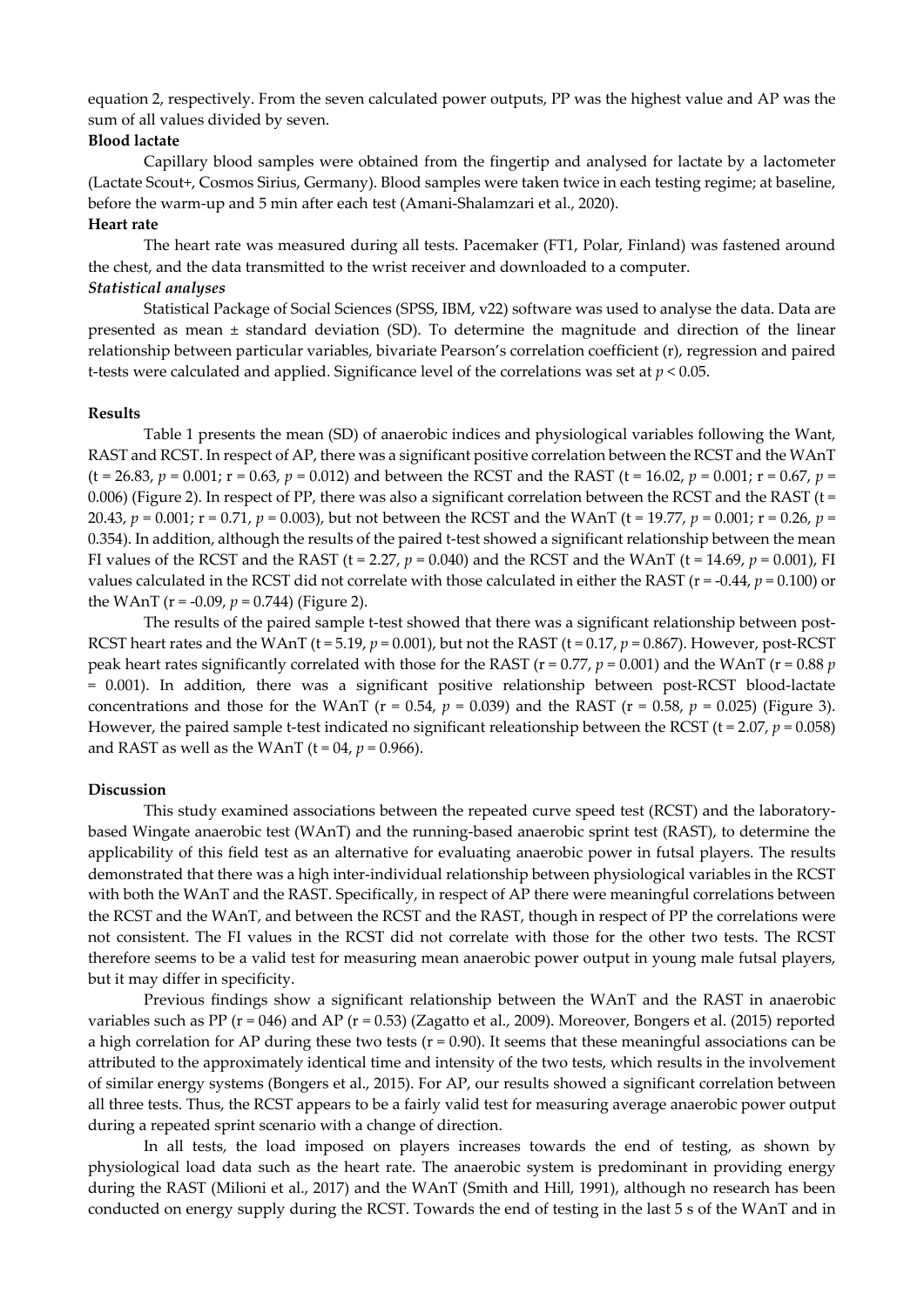equation 2, respectively. From the seven calculated power outputs, PP was the highest value and AP was the sum of all values divided by seven.

# **Blood lactate**

Capillary blood samples were obtained from the fingertip and analysed for lactate by a lactometer (Lactate Scout+, Cosmos Sirius, Germany). Blood samples were taken twice in each testing regime; at baseline, before the warm-up and 5 min after each test (Amani-Shalamzari et al., 2020).

# **Heart rate**

The heart rate was measured during all tests. Pacemaker (FT1, Polar, Finland) was fastened around the chest, and the data transmitted to the wrist receiver and downloaded to a computer.

# *Statistical analyses*

Statistical Package of Social Sciences (SPSS, IBM, v22) software was used to analyse the data. Data are presented as mean ± standard deviation (SD). To determine the magnitude and direction of the linear relationship between particular variables, bivariate Pearson's correlation coefficient (r), regression and paired t-tests were calculated and applied. Significance level of the correlations was set at *p* < 0.05.

## **Results**

Table 1 presents the mean (SD) of anaerobic indices and physiological variables following the Want, RAST and RCST. In respect of AP, there was a significant positive correlation between the RCST and the WAnT  $(t = 26.83, p = 0.001; r = 0.63, p = 0.012)$  and between the RCST and the RAST  $(t = 16.02, p = 0.001; r = 0.67, p = 0.001)$ 0.006) (Figure 2). In respect of PP, there was also a significant correlation between the RCST and the RAST ( $t =$ 20.43, *p* = 0.001; r = 0.71, *p* = 0.003), but not between the RCST and the WAnT (t = 19.77, *p* = 0.001; r = 0.26, *p* = 0.354). In addition, although the results of the paired t-test showed a significant relationship between the mean FI values of the RCST and the RAST (t = 2.27,  $p = 0.040$ ) and the RCST and the WAnT (t = 14.69,  $p = 0.001$ ), FI values calculated in the RCST did not correlate with those calculated in either the RAST ( $r = -0.44$ ,  $p = 0.100$ ) or the WAnT ( $r = -0.09$ ,  $p = 0.744$ ) (Figure 2).

The results of the paired sample t-test showed that there was a significant relationship between post-RCST heart rates and the WAnT (t = 5.19,  $p = 0.001$ ), but not the RAST (t = 0.17,  $p = 0.867$ ). However, post-RCST peak heart rates significantly correlated with those for the RAST ( $r = 0.77$ ,  $p = 0.001$ ) and the WAnT ( $r = 0.88 p$ ) = 0.001). In addition, there was a significant positive relationship between post-RCST blood-lactate concentrations and those for the WAnT ( $r = 0.54$ ,  $p = 0.039$ ) and the RAST ( $r = 0.58$ ,  $p = 0.025$ ) (Figure 3). However, the paired sample t-test indicated no significant releationship between the RCST ( $t = 2.07$ ,  $p = 0.058$ ) and RAST as well as the WAnT ( $t = 04$ ,  $p = 0.966$ ).

## **Discussion**

This study examined associations between the repeated curve speed test (RCST) and the laboratorybased Wingate anaerobic test (WAnT) and the running-based anaerobic sprint test (RAST), to determine the applicability of this field test as an alternative for evaluating anaerobic power in futsal players. The results demonstrated that there was a high inter-individual relationship between physiological variables in the RCST with both the WAnT and the RAST. Specifically, in respect of AP there were meaningful correlations between the RCST and the WAnT, and between the RCST and the RAST, though in respect of PP the correlations were not consistent. The FI values in the RCST did not correlate with those for the other two tests. The RCST therefore seems to be a valid test for measuring mean anaerobic power output in young male futsal players, but it may differ in specificity.

Previous findings show a significant relationship between the WAnT and the RAST in anaerobic variables such as PP ( $r = 046$ ) and AP ( $r = 0.53$ ) (Zagatto et al., 2009). Moreover, Bongers et al. (2015) reported a high correlation for AP during these two tests  $(r = 0.90)$ . It seems that these meaningful associations can be attributed to the approximately identical time and intensity of the two tests, which results in the involvement of similar energy systems (Bongers et al., 2015). For AP, our results showed a significant correlation between all three tests. Thus, the RCST appears to be a fairly valid test for measuring average anaerobic power output during a repeated sprint scenario with a change of direction.

In all tests, the load imposed on players increases towards the end of testing, as shown by physiological load data such as the heart rate. The anaerobic system is predominant in providing energy during the RAST (Milioni et al., 2017) and the WAnT (Smith and Hill, 1991), although no research has been conducted on energy supply during the RCST. Towards the end of testing in the last 5 s of the WAnT and in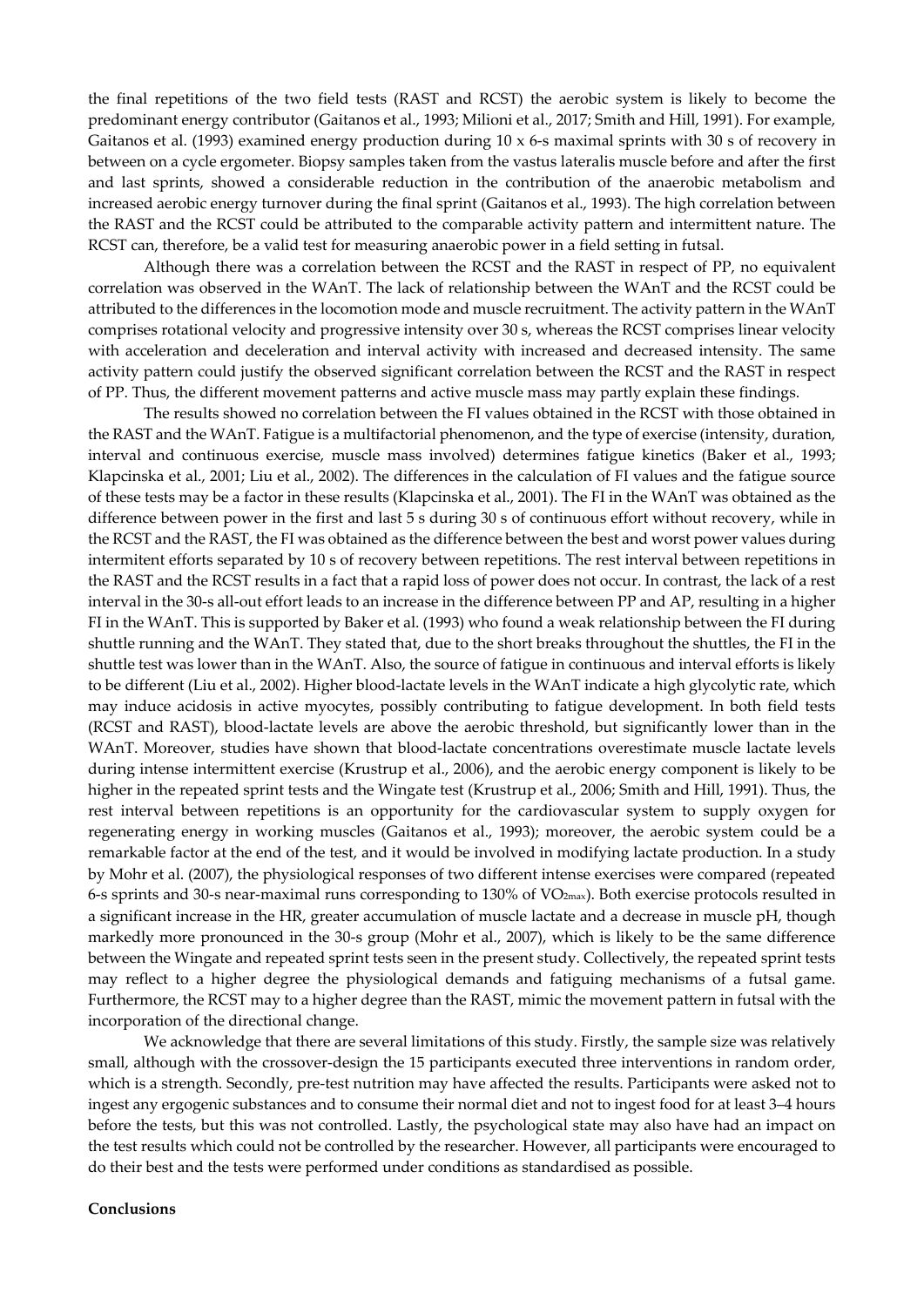the final repetitions of the two field tests (RAST and RCST) the aerobic system is likely to become the predominant energy contributor (Gaitanos et al., 1993; Milioni et al., 2017; Smith and Hill, 1991). For example, Gaitanos et al. (1993) examined energy production during  $10 \times 6$ -s maximal sprints with  $30 \text{ s}$  of recovery in between on a cycle ergometer. Biopsy samples taken from the vastus lateralis muscle before and after the first and last sprints, showed a considerable reduction in the contribution of the anaerobic metabolism and increased aerobic energy turnover during the final sprint (Gaitanos et al., 1993). The high correlation between the RAST and the RCST could be attributed to the comparable activity pattern and intermittent nature. The RCST can, therefore, be a valid test for measuring anaerobic power in a field setting in futsal.

 Although there was a correlation between the RCST and the RAST in respect of PP, no equivalent correlation was observed in the WAnT. The lack of relationship between the WAnT and the RCST could be attributed to the differences in the locomotion mode and muscle recruitment. The activity pattern in the WAnT comprises rotational velocity and progressive intensity over 30 s, whereas the RCST comprises linear velocity with acceleration and deceleration and interval activity with increased and decreased intensity. The same activity pattern could justify the observed significant correlation between the RCST and the RAST in respect of PP. Thus, the different movement patterns and active muscle mass may partly explain these findings.

The results showed no correlation between the FI values obtained in the RCST with those obtained in the RAST and the WAnT. Fatigue is a multifactorial phenomenon, and the type of exercise (intensity, duration, interval and continuous exercise, muscle mass involved) determines fatigue kinetics (Baker et al., 1993; Klapcinska et al., 2001; Liu et al., 2002). The differences in the calculation of FI values and the fatigue source of these tests may be a factor in these results (Klapcinska et al., 2001). The FI in the WAnT was obtained as the difference between power in the first and last 5 s during 30 s of continuous effort without recovery, while in the RCST and the RAST, the FI was obtained as the difference between the best and worst power values during intermitent efforts separated by 10 s of recovery between repetitions. The rest interval between repetitions in the RAST and the RCST results in a fact that a rapid loss of power does not occur. In contrast, the lack of a rest interval in the 30-s all-out effort leads to an increase in the difference between PP and AP, resulting in a higher FI in the WAnT. This is supported by Baker et al. (1993) who found a weak relationship between the FI during shuttle running and the WAnT. They stated that, due to the short breaks throughout the shuttles, the FI in the shuttle test was lower than in the WAnT. Also, the source of fatigue in continuous and interval efforts is likely to be different (Liu et al., 2002). Higher blood-lactate levels in the WAnT indicate a high glycolytic rate, which may induce acidosis in active myocytes, possibly contributing to fatigue development. In both field tests (RCST and RAST), blood-lactate levels are above the aerobic threshold, but significantly lower than in the WAnT. Moreover, studies have shown that blood-lactate concentrations overestimate muscle lactate levels during intense intermittent exercise (Krustrup et al., 2006), and the aerobic energy component is likely to be higher in the repeated sprint tests and the Wingate test (Krustrup et al., 2006; Smith and Hill, 1991). Thus, the rest interval between repetitions is an opportunity for the cardiovascular system to supply oxygen for regenerating energy in working muscles (Gaitanos et al., 1993); moreover, the aerobic system could be a remarkable factor at the end of the test, and it would be involved in modifying lactate production. In a study by Mohr et al. (2007), the physiological responses of two different intense exercises were compared (repeated 6-s sprints and 30-s near-maximal runs corresponding to 130% of VO2max). Both exercise protocols resulted in a significant increase in the HR, greater accumulation of muscle lactate and a decrease in muscle pH, though markedly more pronounced in the 30-s group (Mohr et al., 2007), which is likely to be the same difference between the Wingate and repeated sprint tests seen in the present study. Collectively, the repeated sprint tests may reflect to a higher degree the physiological demands and fatiguing mechanisms of a futsal game. Furthermore, the RCST may to a higher degree than the RAST, mimic the movement pattern in futsal with the incorporation of the directional change.

We acknowledge that there are several limitations of this study. Firstly, the sample size was relatively small, although with the crossover-design the 15 participants executed three interventions in random order, which is a strength. Secondly, pre-test nutrition may have affected the results. Participants were asked not to ingest any ergogenic substances and to consume their normal diet and not to ingest food for at least 3–4 hours before the tests, but this was not controlled. Lastly, the psychological state may also have had an impact on the test results which could not be controlled by the researcher. However, all participants were encouraged to do their best and the tests were performed under conditions as standardised as possible.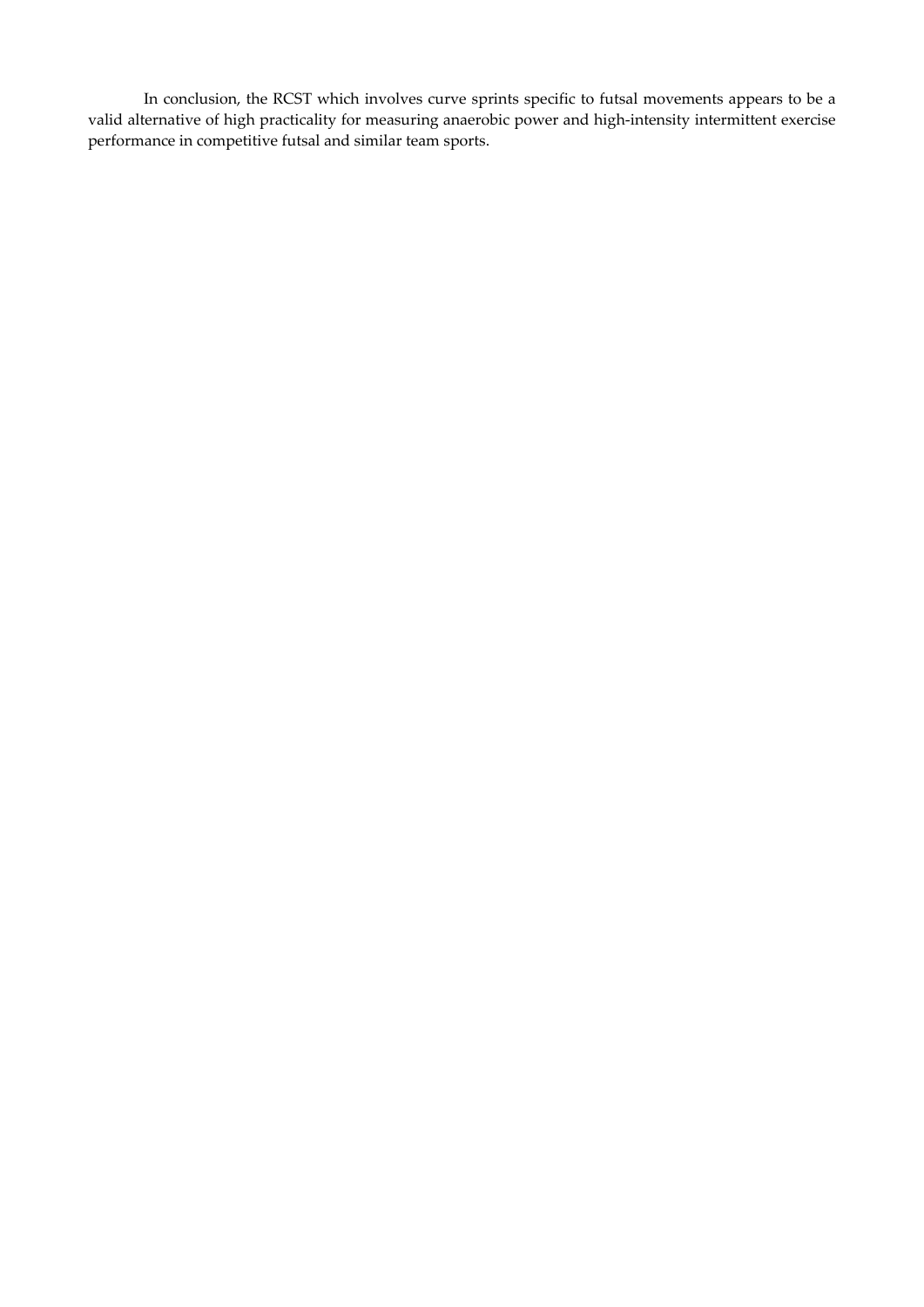In conclusion, the RCST which involves curve sprints specific to futsal movements appears to be a valid alternative of high practicality for measuring anaerobic power and high-intensity intermittent exercise performance in competitive futsal and similar team sports.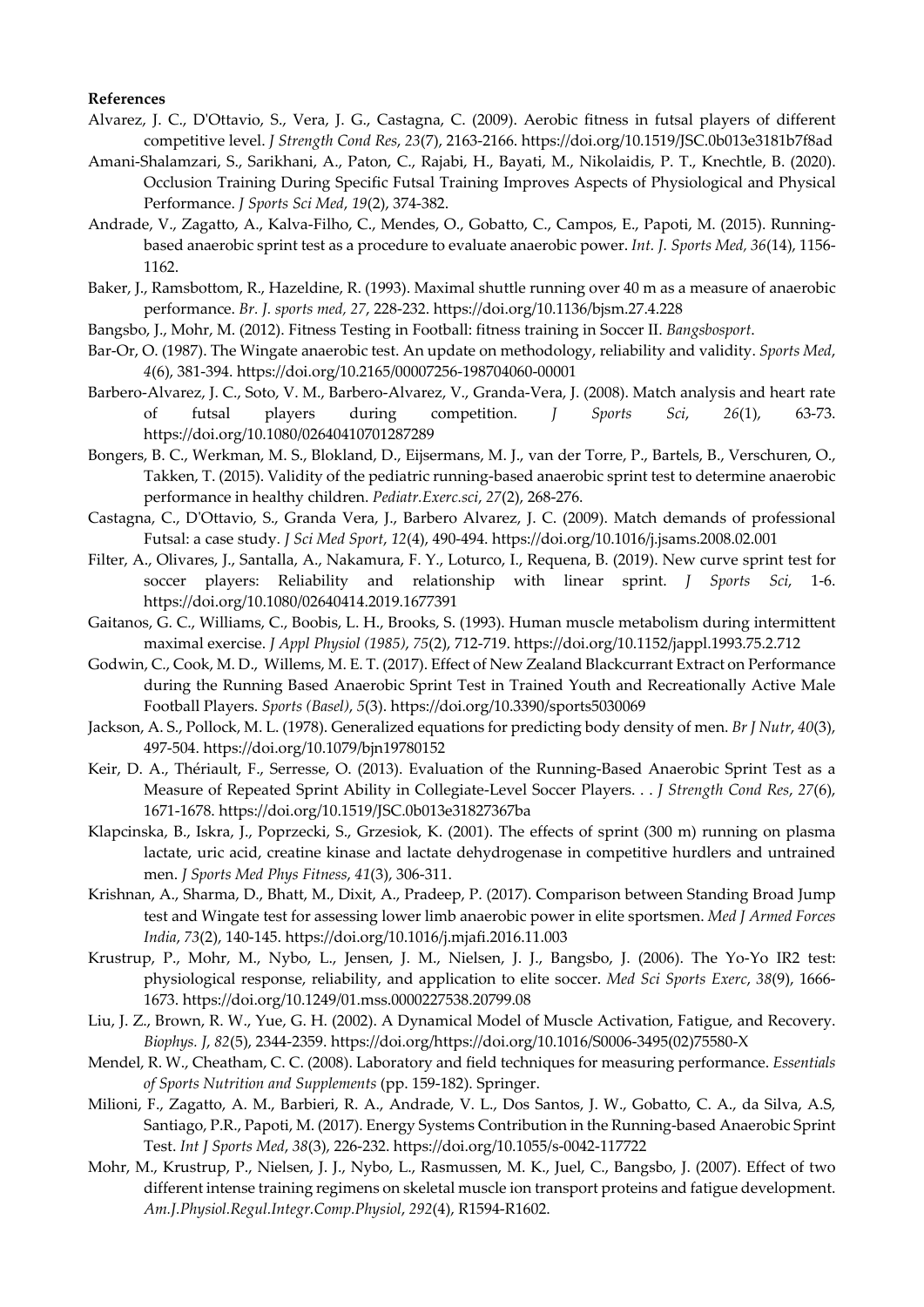## **References**

- Alvarez, J. C., D'Ottavio, S., Vera, J. G., Castagna, C. (2009). Aerobic fitness in futsal players of different competitive level. *J Strength Cond Res*, *23*(7), 2163-2166. https://doi.org/10.1519/JSC.0b013e3181b7f8ad
- Amani-Shalamzari, S., Sarikhani, A., Paton, C., Rajabi, H., Bayati, M., Nikolaidis, P. T., Knechtle, B. (2020). Occlusion Training During Specific Futsal Training Improves Aspects of Physiological and Physical Performance. *J Sports Sci Med*, *19*(2), 374-382.
- Andrade, V., Zagatto, A., Kalva-Filho, C., Mendes, O., Gobatto, C., Campos, E., Papoti, M. (2015). Runningbased anaerobic sprint test as a procedure to evaluate anaerobic power. *Int. J. Sports Med, 36*(14), 1156- 1162.
- Baker, J., Ramsbottom, R., Hazeldine, R. (1993). Maximal shuttle running over 40 m as a measure of anaerobic performance. *Br. J. sports med, 27*, 228-232. https://doi.org/10.1136/bjsm.27.4.228
- Bangsbo, J., Mohr, M. (2012). Fitness Testing in Football: fitness training in Soccer II. *Bangsbosport*.
- Bar-Or, O. (1987). The Wingate anaerobic test. An update on methodology, reliability and validity. *Sports Med*, *4*(6), 381-394. https://doi.org/10.2165/00007256-198704060-00001
- Barbero-Alvarez, J. C., Soto, V. M., Barbero-Alvarez, V., Granda-Vera, J. (2008). Match analysis and heart rate of futsal players during competition. *J Sports Sci*, *26*(1), 63-73. https://doi.org/10.1080/02640410701287289
- Bongers, B. C., Werkman, M. S., Blokland, D., Eijsermans, M. J., van der Torre, P., Bartels, B., Verschuren, O., Takken, T. (2015). Validity of the pediatric running-based anaerobic sprint test to determine anaerobic performance in healthy children. *Pediatr.Exerc.sci*, *27*(2), 268-276.
- Castagna, C., D'Ottavio, S., Granda Vera, J., Barbero Alvarez, J. C. (2009). Match demands of professional Futsal: a case study. *J Sci Med Sport*, *12*(4), 490-494. https://doi.org/10.1016/j.jsams.2008.02.001
- Filter, A., Olivares, J., Santalla, A., Nakamura, F. Y., Loturco, I., Requena, B. (2019). New curve sprint test for soccer players: Reliability and relationship with linear sprint. *J Sports Sci*, 1-6. https://doi.org/10.1080/02640414.2019.1677391
- Gaitanos, G. C., Williams, C., Boobis, L. H., Brooks, S. (1993). Human muscle metabolism during intermittent maximal exercise. *J Appl Physiol (1985)*, *75*(2), 712-719. https://doi.org/10.1152/jappl.1993.75.2.712
- Godwin, C., Cook, M. D., Willems, M. E. T. (2017). Effect of New Zealand Blackcurrant Extract on Performance during the Running Based Anaerobic Sprint Test in Trained Youth and Recreationally Active Male Football Players. *Sports (Basel)*, *5*(3). https://doi.org/10.3390/sports5030069
- Jackson, A. S., Pollock, M. L. (1978). Generalized equations for predicting body density of men. *Br J Nutr*, *40*(3), 497-504. https://doi.org/10.1079/bjn19780152
- Keir, D. A., Thériault, F., Serresse, O. (2013). Evaluation of the Running-Based Anaerobic Sprint Test as a Measure of Repeated Sprint Ability in Collegiate-Level Soccer Players. . . *J Strength Cond Res*, *27*(6), 1671-1678. https://doi.org/10.1519/JSC.0b013e31827367ba
- Klapcinska, B., Iskra, J., Poprzecki, S., Grzesiok, K. (2001). The effects of sprint (300 m) running on plasma lactate, uric acid, creatine kinase and lactate dehydrogenase in competitive hurdlers and untrained men. *J Sports Med Phys Fitness*, *41*(3), 306-311.
- Krishnan, A., Sharma, D., Bhatt, M., Dixit, A., Pradeep, P. (2017). Comparison between Standing Broad Jump test and Wingate test for assessing lower limb anaerobic power in elite sportsmen. *Med J Armed Forces India*, *73*(2), 140-145. https://doi.org/10.1016/j.mjafi.2016.11.003
- Krustrup, P., Mohr, M., Nybo, L., Jensen, J. M., Nielsen, J. J., Bangsbo, J. (2006). The Yo-Yo IR2 test: physiological response, reliability, and application to elite soccer. *Med Sci Sports Exerc*, *38*(9), 1666- 1673. https://doi.org/10.1249/01.mss.0000227538.20799.08
- Liu, J. Z., Brown, R. W., Yue, G. H. (2002). A Dynamical Model of Muscle Activation, Fatigue, and Recovery. *Biophys. J*, *82*(5), 2344-2359. https://doi.org/https://doi.org/10.1016/S0006-3495(02)75580-X
- Mendel, R. W., Cheatham, C. C. (2008). Laboratory and field techniques for measuring performance. *Essentials of Sports Nutrition and Supplements* (pp. 159-182). Springer.
- Milioni, F., Zagatto, A. M., Barbieri, R. A., Andrade, V. L., Dos Santos, J. W., Gobatto, C. A., da Silva, A.S, Santiago, P.R., Papoti, M. (2017). Energy Systems Contribution in the Running-based Anaerobic Sprint Test. *Int J Sports Med*, *38*(3), 226-232. https://doi.org/10.1055/s-0042-117722
- Mohr, M., Krustrup, P., Nielsen, J. J., Nybo, L., Rasmussen, M. K., Juel, C., Bangsbo, J. (2007). Effect of two different intense training regimens on skeletal muscle ion transport proteins and fatigue development. *Am.J.Physiol.Regul.Integr.Comp.Physiol*, *292*(4), R1594-R1602.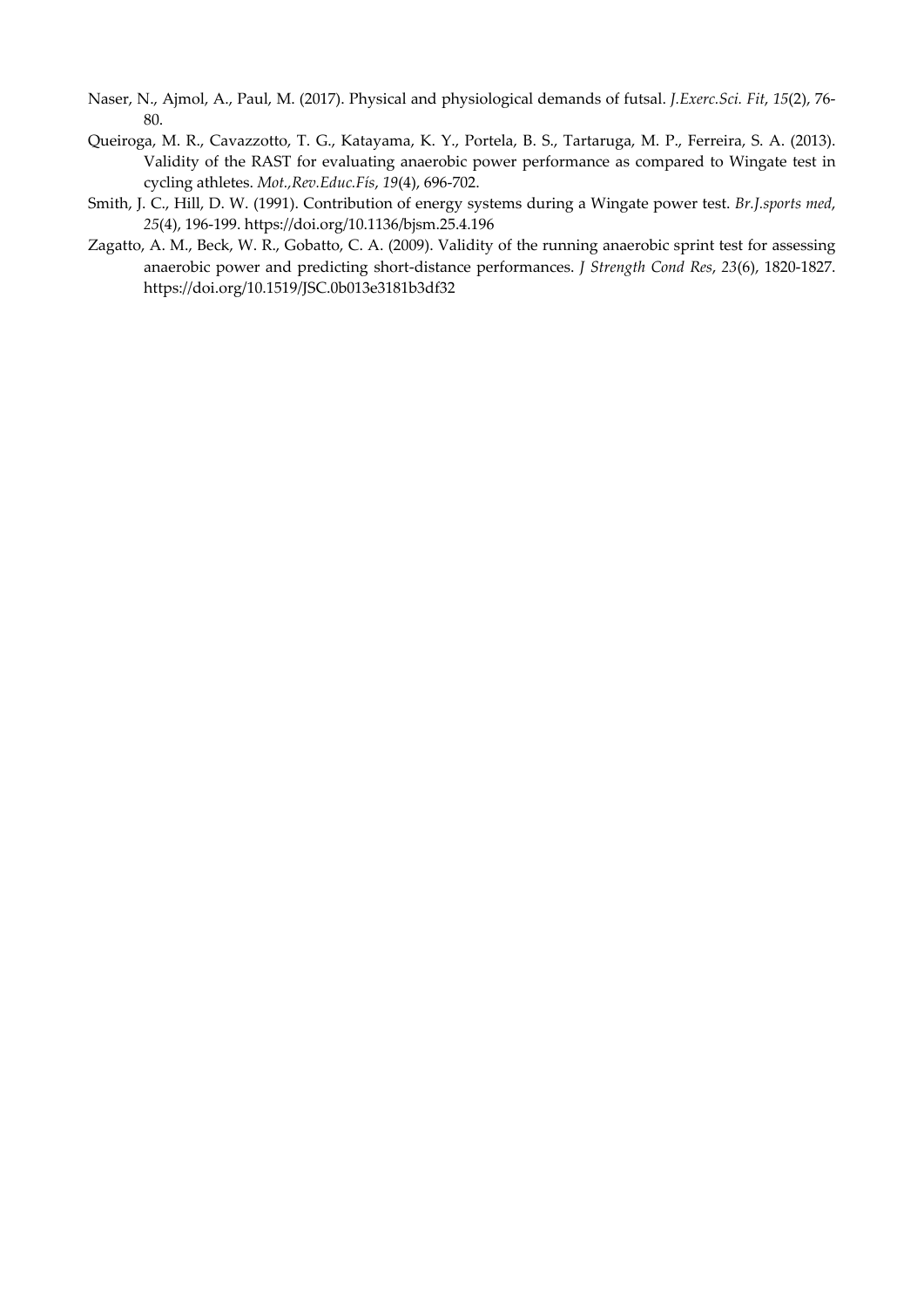- Naser, N., Ajmol, A., Paul, M. (2017). Physical and physiological demands of futsal. *J.Exerc.Sci. Fit*, *15*(2), 76- 80.
- Queiroga, M. R., Cavazzotto, T. G., Katayama, K. Y., Portela, B. S., Tartaruga, M. P., Ferreira, S. A. (2013). Validity of the RAST for evaluating anaerobic power performance as compared to Wingate test in cycling athletes. *Mot.,Rev.Educ.Fís*, *19*(4), 696-702.
- Smith, J. C., Hill, D. W. (1991). Contribution of energy systems during a Wingate power test. *Br.J.sports med*, *25*(4), 196-199. https://doi.org/10.1136/bjsm.25.4.196
- Zagatto, A. M., Beck, W. R., Gobatto, C. A. (2009). Validity of the running anaerobic sprint test for assessing anaerobic power and predicting short-distance performances. *J Strength Cond Res*, *23*(6), 1820-1827. https://doi.org/10.1519/JSC.0b013e3181b3df32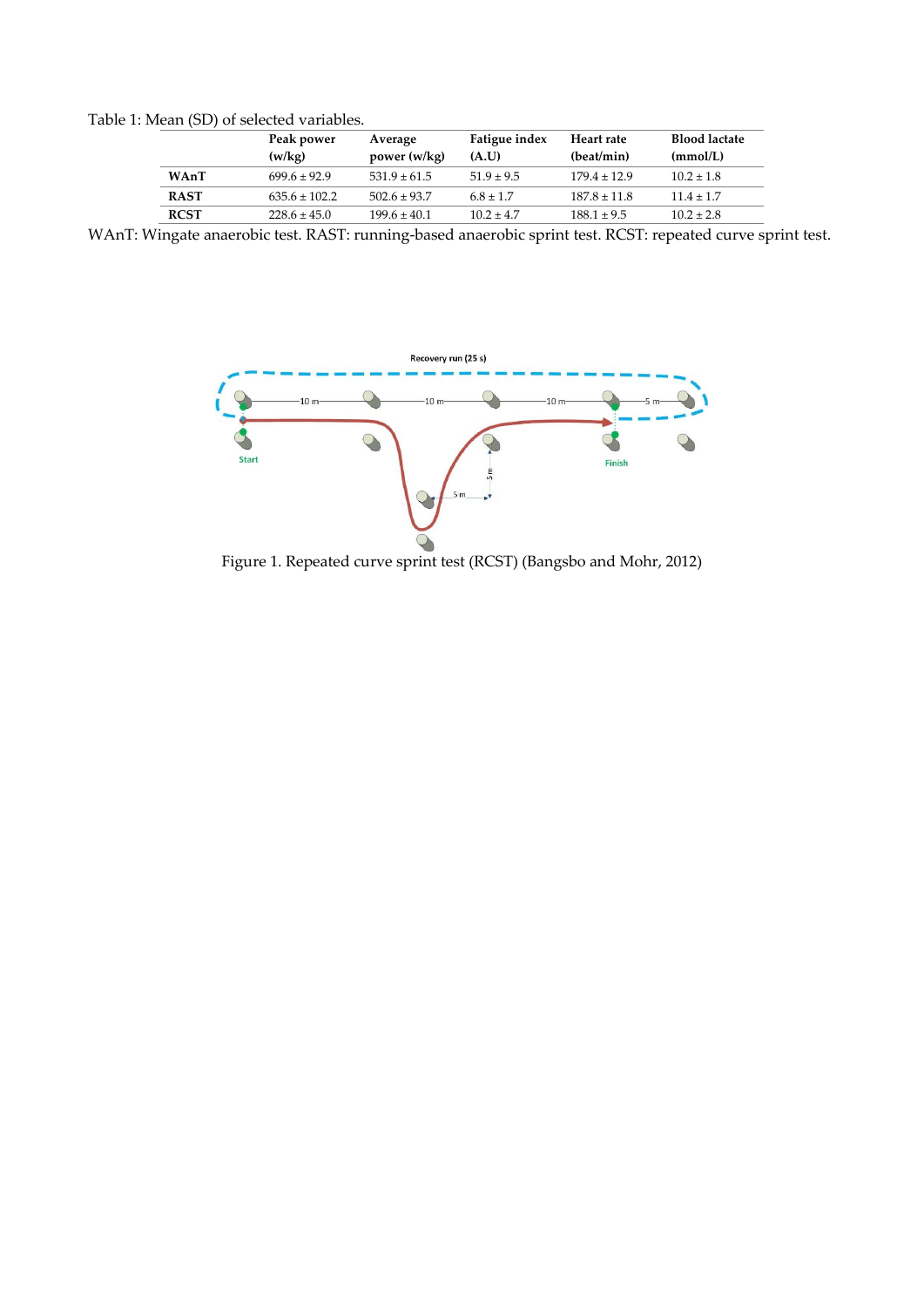Table 1: Mean (SD) of selected variables.

|             | Peak power<br>(w/kg) | Average<br>power (w/kg) | Fatigue index<br>(A.U) | Heart rate<br>(beat/min) | <b>Blood lactate</b><br>(mmol/L) |
|-------------|----------------------|-------------------------|------------------------|--------------------------|----------------------------------|
| WAnT        | $699.6 \pm 92.9$     | $531.9 \pm 61.5$        | $51.9 \pm 9.5$         | $179.4 \pm 12.9$         | $10.2 \pm 1.8$                   |
| <b>RAST</b> | $635.6 \pm 102.2$    | $502.6 \pm 93.7$        | $6.8 \pm 1.7$          | $187.8 \pm 11.8$         | $11.4 \pm 1.7$                   |
| <b>RCST</b> | $228.6 \pm 45.0$     | $199.6 \pm 40.1$        | $102 + 47$             | $188.1 \pm 9.5$          | $10.2 \pm 2.8$                   |

WAnT: Wingate anaerobic test. RAST: running-based anaerobic sprint test. RCST: repeated curve sprint test.



Figure 1. Repeated curve sprint test (RCST) (Bangsbo and Mohr, 2012)